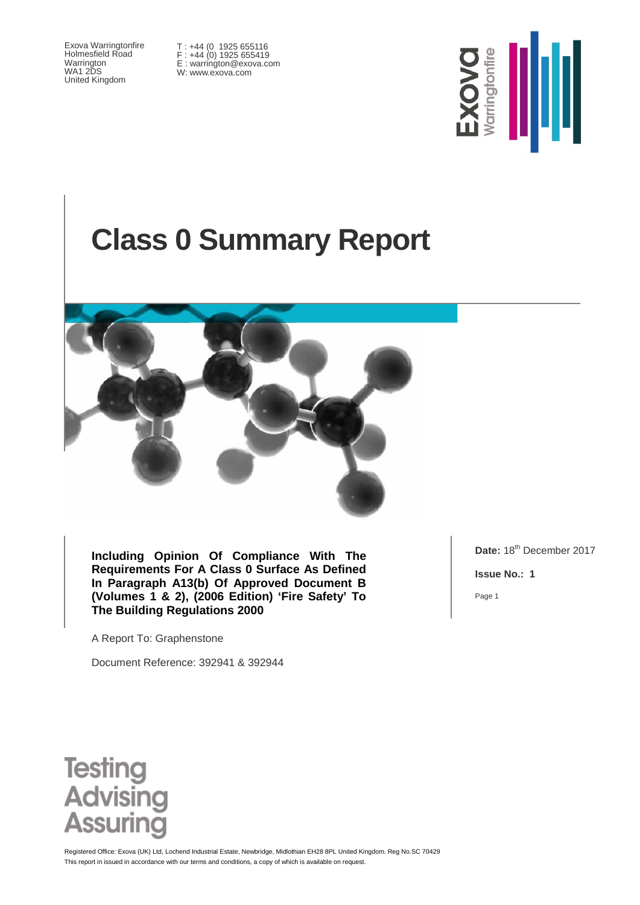Exova Warringtonfire Holmesfield Road Warrington WA1 2DS United Kingdom

T : +44 (0 1925 655116 F : +44 (0) 1925 655419 E : warrington@exova.com W: www.exova.com



# **Class 0 Summary Report**



**Including Opinion Of Compliance With The Requirements For A Class 0 Surface As Defined In Paragraph A13(b) Of Approved Document B (Volumes 1 & 2), (2006 Edition) 'Fire Safety' To The Building Regulations 2000**

A Report To: Graphenstone

Document Reference: 392941 & 392944

Date: 18<sup>th</sup> December 2017

**Issue No.: 1**

Page 1



This report in issued in accordance with our terms and conditions, a copy of which is available on request Registered Office: Exova (UK) Ltd, Lochend Industrial Estate, Newbridge, Midlothian EH28 8PL United Kingdom. Reg No.SC 70429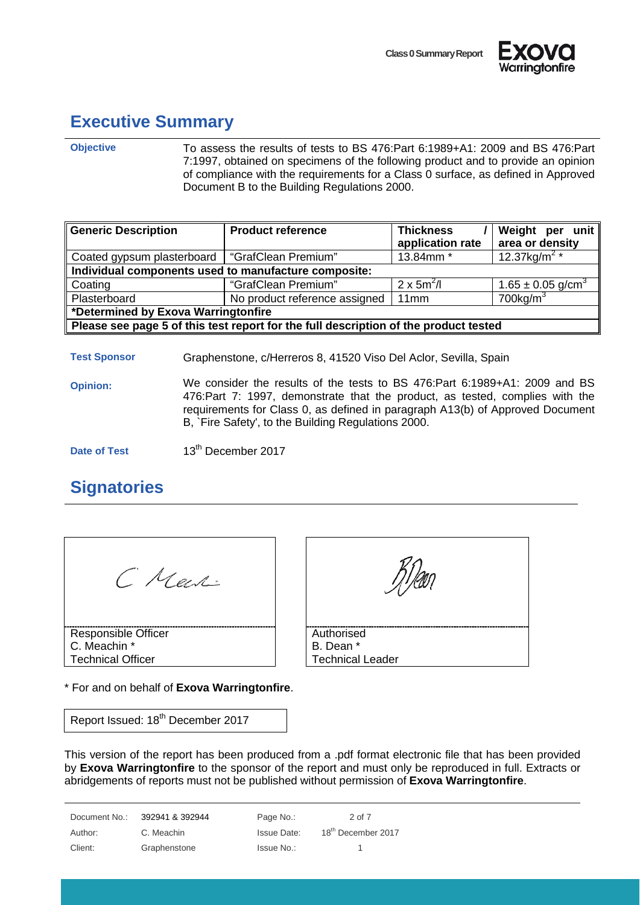



## <span id="page-1-0"></span>**Executive Summary**

**Objective** To assess the results of tests to BS 476:Part 6:1989+A1: 2009 and BS 476:Part 7:1997, obtained on specimens of the following product and to provide an opinion of compliance with the requirements for a Class 0 surface, as defined in Approved Document B to the Building Regulations 2000.

| Generic Description                                                                  | <b>Product reference</b>      | <b>Thickness</b><br>application rate | Weight per unit<br>area or density |
|--------------------------------------------------------------------------------------|-------------------------------|--------------------------------------|------------------------------------|
| Coated gypsum plasterboard   "GrafClean Premium"                                     |                               | 13.84mm *                            | $12.37$ kg/m <sup>2</sup> *        |
| Individual components used to manufacture composite:                                 |                               |                                      |                                    |
| Coating                                                                              | "GrafClean Premium"           | $2 \times 5m^2/l$                    | $1.65 \pm 0.05$ g/cm <sup>3</sup>  |
| Plasterboard                                                                         | No product reference assigned | 11mm                                 | $700$ kg/m <sup>3</sup>            |
| *Determined by Exova Warringtonfire                                                  |                               |                                      |                                    |
| Please see page 5 of this test report for the full description of the product tested |                               |                                      |                                    |

**Test Sponsor** Graphenstone, c/Herreros 8, 41520 Viso Del Aclor, Sevilla, Spain

**Opinion:** We consider the results of the tests to BS 476:Part 6:1989+A1: 2009 and BS 476:Part 7: 1997, demonstrate that the product, as tested, complies with the requirements for Class 0, as defined in paragraph A13(b) of Approved Document B, `Fire Safety', to the Building Regulations 2000.

**Date of Test** 13<sup>th</sup> December 2017

## <span id="page-1-1"></span>**Signatories**

| C Mech:                  |
|--------------------------|
| Responsible Officer      |
| C. Meachin *             |
| <b>Technical Officer</b> |

\* For and on behalf of **Exova Warringtonfire**.

Report Issued: 18<sup>th</sup> December 2017

This version of the report has been produced from a .pdf format electronic file that has been provided by **Exova Warringtonfire** to the sponsor of the report and must only be reproduced in full. Extracts or abridgements of reports must not be published without permission of **Exova Warringtonfire**.

Document No.: 392941 & 392944 Page No.: 2 of 7 Author: C. Meachin Issue Date: 18<sup>th</sup> December 2017

Client: Graphenstone Issue No.: 1





Authorised B. Dean \* Technical Leader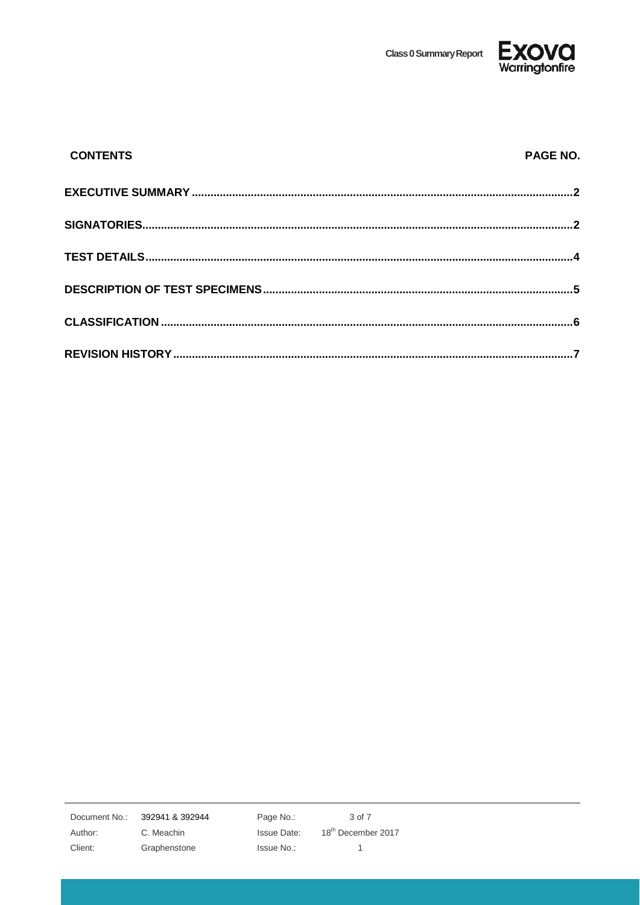**Class 0 Summary Report** 



| <b>CONTENTS</b> | PAGE NO. |
|-----------------|----------|
|                 |          |
|                 |          |
|                 |          |
|                 |          |
|                 |          |
|                 |          |

392941 & 392944 Document No.:

Author:

Client:

C. Meachin Graphenstone Page No.: **Issue Date:** Issue No.:

3 of 7 18<sup>th</sup> December 2017  $\overline{1}$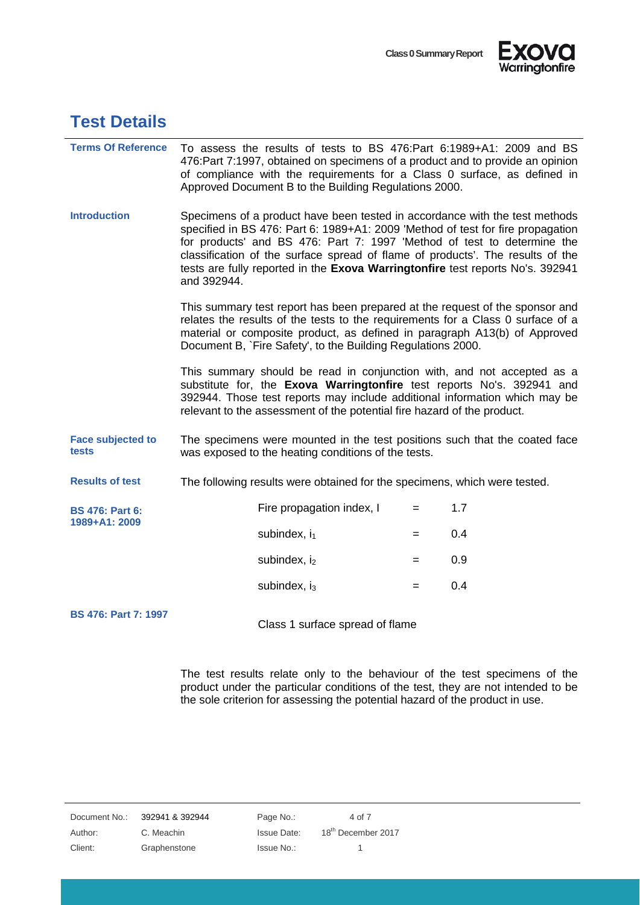



#### <span id="page-3-0"></span>**Test Details**

| <b>Terms Of Reference</b>               | To assess the results of tests to BS 476:Part 6:1989+A1: 2009 and BS<br>476: Part 7:1997, obtained on specimens of a product and to provide an opinion<br>of compliance with the requirements for a Class 0 surface, as defined in<br>Approved Document B to the Building Regulations 2000.                                                                                                                                  |                                                                                                                                                                                                                                                                                                           |     |     |
|-----------------------------------------|------------------------------------------------------------------------------------------------------------------------------------------------------------------------------------------------------------------------------------------------------------------------------------------------------------------------------------------------------------------------------------------------------------------------------|-----------------------------------------------------------------------------------------------------------------------------------------------------------------------------------------------------------------------------------------------------------------------------------------------------------|-----|-----|
| <b>Introduction</b>                     | Specimens of a product have been tested in accordance with the test methods<br>specified in BS 476: Part 6: 1989+A1: 2009 'Method of test for fire propagation<br>for products' and BS 476: Part 7: 1997 'Method of test to determine the<br>classification of the surface spread of flame of products'. The results of the<br>tests are fully reported in the Exova Warringtonfire test reports No's. 392941<br>and 392944. |                                                                                                                                                                                                                                                                                                           |     |     |
|                                         | This summary test report has been prepared at the request of the sponsor and<br>relates the results of the tests to the requirements for a Class 0 surface of a<br>material or composite product, as defined in paragraph A13(b) of Approved<br>Document B, `Fire Safety', to the Building Regulations 2000.                                                                                                                 |                                                                                                                                                                                                                                                                                                           |     |     |
|                                         |                                                                                                                                                                                                                                                                                                                                                                                                                              | This summary should be read in conjunction with, and not accepted as a<br>substitute for, the Exova Warringtonfire test reports No's. 392941 and<br>392944. Those test reports may include additional information which may be<br>relevant to the assessment of the potential fire hazard of the product. |     |     |
| <b>Face subjected to</b><br>tests       | The specimens were mounted in the test positions such that the coated face<br>was exposed to the heating conditions of the tests.                                                                                                                                                                                                                                                                                            |                                                                                                                                                                                                                                                                                                           |     |     |
| <b>Results of test</b>                  | The following results were obtained for the specimens, which were tested.                                                                                                                                                                                                                                                                                                                                                    |                                                                                                                                                                                                                                                                                                           |     |     |
| <b>BS 476: Part 6:</b><br>1989+A1: 2009 |                                                                                                                                                                                                                                                                                                                                                                                                                              | Fire propagation index, I                                                                                                                                                                                                                                                                                 | $=$ | 1.7 |
|                                         |                                                                                                                                                                                                                                                                                                                                                                                                                              | subindex, $i_1$                                                                                                                                                                                                                                                                                           | $=$ | 0.4 |
|                                         |                                                                                                                                                                                                                                                                                                                                                                                                                              | subindex, $i_2$                                                                                                                                                                                                                                                                                           | $=$ | 0.9 |
|                                         |                                                                                                                                                                                                                                                                                                                                                                                                                              | subindex, $i_3$                                                                                                                                                                                                                                                                                           | $=$ | 0.4 |
| <b>BS 476: Part 7: 1997</b>             |                                                                                                                                                                                                                                                                                                                                                                                                                              | Class 1 surface spread of flame                                                                                                                                                                                                                                                                           |     |     |

The test results relate only to the behaviour of the test specimens of the product under the particular conditions of the test, they are not intended to be the sole criterion for assessing the potential hazard of the product in use.

| Document No.: | 392941 & 392944 | Page No.:   | 4 of 7                         |
|---------------|-----------------|-------------|--------------------------------|
| Author:       | C. Meachin      | Issue Date: | 18 <sup>th</sup> December 2017 |
| Client:       | Graphenstone    | Issue No.:  |                                |
|               |                 |             |                                |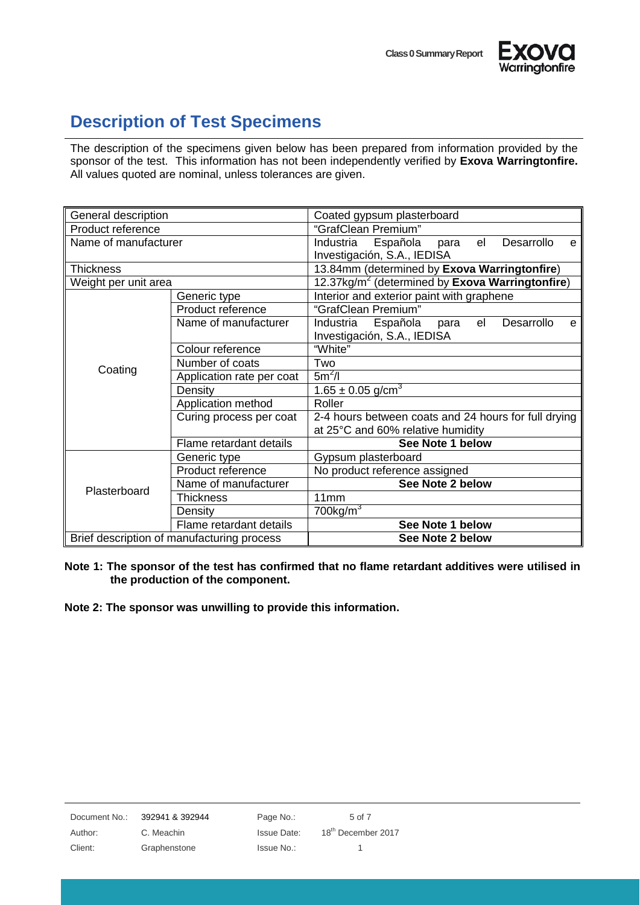



### <span id="page-4-0"></span>**Description of Test Specimens**

The description of the specimens given below has been prepared from information provided by the sponsor of the test. This information has not been independently verified by **Exova Warringtonfire.**  All values quoted are nominal, unless tolerances are given.

| General description                        |                           | Coated gypsum plasterboard                                          |  |  |  |
|--------------------------------------------|---------------------------|---------------------------------------------------------------------|--|--|--|
| Product reference                          |                           | "GrafClean Premium"                                                 |  |  |  |
| Name of manufacturer                       |                           | Española<br>Industria<br>el<br>Desarrollo<br>para<br>e              |  |  |  |
|                                            |                           | Investigación, S.A., IEDISA                                         |  |  |  |
| <b>Thickness</b>                           |                           | 13.84mm (determined by Exova Warringtonfire)                        |  |  |  |
| Weight per unit area                       |                           | 12.37kg/m <sup>2</sup> (determined by <b>Exova Warringtonfire</b> ) |  |  |  |
|                                            | Generic type              | Interior and exterior paint with graphene                           |  |  |  |
|                                            | Product reference         | "GrafClean Premium"                                                 |  |  |  |
|                                            | Name of manufacturer      | Industria Española<br>Desarrollo<br>el<br>para<br>e                 |  |  |  |
|                                            |                           | Investigación, S.A., IEDISA                                         |  |  |  |
|                                            | Colour reference          | "White"                                                             |  |  |  |
| Coating                                    | Number of coats           | Two                                                                 |  |  |  |
|                                            | Application rate per coat | $5m^2/l$                                                            |  |  |  |
|                                            | Density                   | $1.65 \pm 0.05$ g/cm <sup>3</sup>                                   |  |  |  |
|                                            | Application method        | Roller                                                              |  |  |  |
|                                            | Curing process per coat   | 2-4 hours between coats and 24 hours for full drying                |  |  |  |
|                                            |                           | at 25°C and 60% relative humidity                                   |  |  |  |
|                                            | Flame retardant details   | See Note 1 below                                                    |  |  |  |
| Plasterboard                               | Generic type              | Gypsum plasterboard                                                 |  |  |  |
|                                            | Product reference         | No product reference assigned                                       |  |  |  |
|                                            | Name of manufacturer      | See Note 2 below                                                    |  |  |  |
|                                            | <b>Thickness</b>          | 11 <sub>mm</sub>                                                    |  |  |  |
|                                            | Density                   | 700 $kg/m3$                                                         |  |  |  |
|                                            | Flame retardant details   | See Note 1 below                                                    |  |  |  |
| Brief description of manufacturing process |                           | See Note 2 below                                                    |  |  |  |

**Note 1: The sponsor of the test has confirmed that no flame retardant additives were utilised in the production of the component.**

**Note 2: The sponsor was unwilling to provide this information.**

| Document No.: | 392941 & 392944 | Page No.:   | 5 of 7                         |
|---------------|-----------------|-------------|--------------------------------|
| Author:       | C. Meachin      | Issue Date: | 18 <sup>th</sup> December 2017 |
| Client:       | Graphenstone    | Issue No.:  |                                |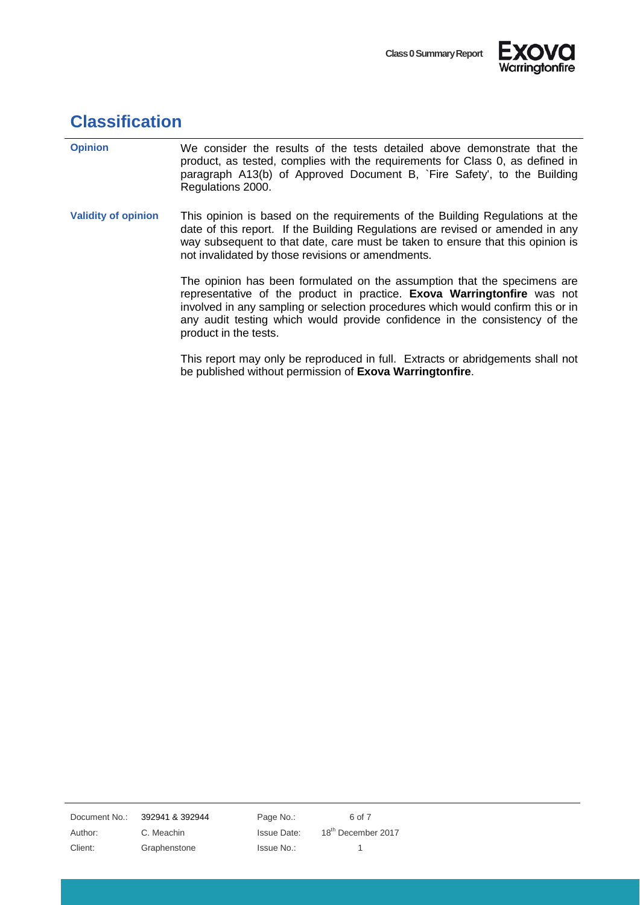



## <span id="page-5-0"></span>**Classification**

| <b>Opinion</b>             | We consider the results of the tests detailed above demonstrate that the<br>product, as tested, complies with the requirements for Class 0, as defined in<br>paragraph A13(b) of Approved Document B, `Fire Safety', to the Building<br>Regulations 2000.                                                                                     |
|----------------------------|-----------------------------------------------------------------------------------------------------------------------------------------------------------------------------------------------------------------------------------------------------------------------------------------------------------------------------------------------|
| <b>Validity of opinion</b> | This opinion is based on the requirements of the Building Regulations at the<br>date of this report. If the Building Regulations are revised or amended in any<br>way subsequent to that date, care must be taken to ensure that this opinion is<br>not invalidated by those revisions or amendments.                                         |
|                            | The opinion has been formulated on the assumption that the specimens are<br>representative of the product in practice. Exova Warringtonfire was not<br>involved in any sampling or selection procedures which would confirm this or in<br>any audit testing which would provide confidence in the consistency of the<br>product in the tests. |
|                            | This report may only be reproduced in full. Extracts or abridgements shall not<br>be published without permission of Exova Warringtonfire.                                                                                                                                                                                                    |

Document No.: 392941 & 392944 Page No.: 6 of 7

Client: Graphenstone Issue No.: 1

Author: C. Meachin Issue Date: 18<sup>th</sup> December 2017